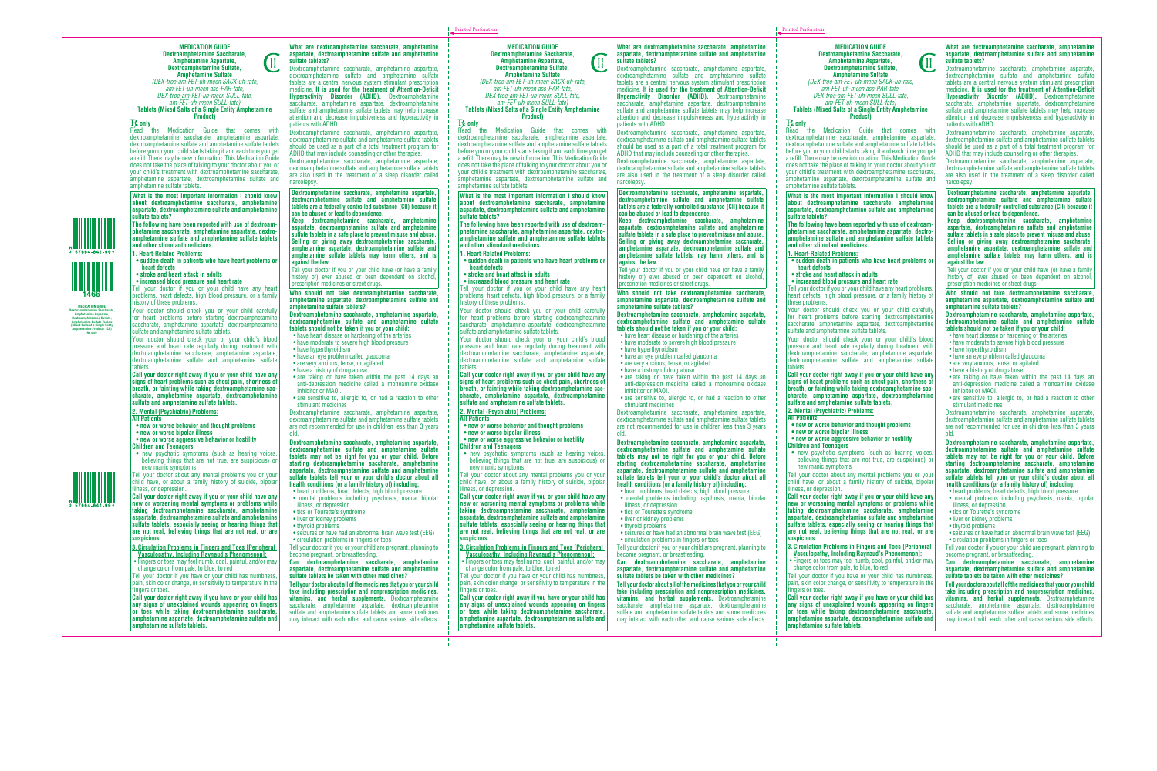**MEDICATION GUIDE Dextroamphetamine Saccharate, Amphetamine Aspartate, Dextroamphetamine Sulfate, Amphetamine Sulfate**



*(DEX-troe-am-FET-uh-meen SACK-uh-rate, am-FET-uh-meen ass-PAR-tate, DEX-troe-am-FET-uh-meen SULL-fate, am-FET-uh-meen SULL-fate)*

**Tablets (Mixed Salts of a Single Entity Amphetamine Product)**

# **R**ead the

Medication Guide that comes with dextroamphetamine saccharate, amphetamine aspartate, dextroamphetamine sulfate and amphetamine sulfate tablets before you or your child starts taking it and each time you get a refill. There may be new information. This Medication Guide does not take the place of talking to your doctor about you or your child's treatment with dextroamphetamine saccharate, amphetamine aspartate, dextroamphetamine sulfate and amphetamine sulfate tablets.

**What is the most important information I should know about dextroamphetamine saccharate, amphetamine aspartate, dextroamphetamine sulfate and amphetamine sulfate tablets?**

**The following have been reported with use of dextroamphetamine saccharate, amphetamine aspartate, dextroamphetamine sulfate and amphetamine sulfate tablets and other stimulant medicines.**

## **1. Heart-Related Problems:**

- **sudden death in patients who have heart problems or heart defects**
- **stroke and heart attack in adults**
- **increased blood pressure and heart rate**

Tell your doctor if you or your child have any heart problems, heart defects, high blood pressure, or a family history of these problems.

Your doctor should check you or your child carefully for heart problems before starting dextroamphetamine saccharate, amphetamine aspartate, dextroamphetamine sulfate and amphetamine sulfate tablets.

Your doctor should check your or your child's blood pressure and heart rate regularly during treatment with dextroamphetamine saccharate, amphetamine aspartate, dextroamphetamine sulfate and amphetamine sulfate tablets.

**Call your doctor right away if you or your child have any signs of heart problems such as chest pain, shortness of breath, or fainting while taking dextroamphetamine saccharate, amphetamine aspartate, dextroamphetamine sulfate and amphetamine sulfate tablets.**

## **2. Mental (Psychiatric) Problems:**

## **All Patients**

- **new or worse behavior and thought problems**
- **new or worse bipolar illness**
- **new or worse aggressive behavior or hostility**

**Children and Teenagers**

**•** new psychotic symptoms (such as hearing voices, believing things that are not true, are suspicious) or new manic symptoms

Tell your doctor about any mental problems you or your child have, or about a family history of suicide, bipolar illness, or depression.

**Call your doctor right away if you or your child have any new or worsening mental symptoms or problems while taking dextroamphetamine saccharate, amphetamine aspartate, dextroamphetamine sulfate and amphetamine sulfate tablets, especially seeing or hearing things that are not real, believing things that are not real, or are suspicious.**

**3.Circulation Problems in Fingers and Toes [Peripheral Vasculopathy, Including Raynaud's Phenomenon]:**

• Fingers or toes may feel numb, cool, painful, and/or may change color from pale, to blue, to red

Tell your doctor if you have or your child has numbness, pain, skin color change, or sensitivity to temperature in the fingers or toes.

**Call your doctor right away if you have or your child has any signs of unexplained wounds appearing on fingers or toes while taking dextroamphetamine saccharate, amphetamine aspartate, dextroamphetamine sulfate and amphetamine sulfate tablets.**

**What are dextroamphetamine saccharate, amphetamine aspartate, dextroamphetamine sulfate and amphetamine sulfate tablets?**

Dextroamphetamine saccharate, amphetamine aspartate, dextroamphetamine sulfate and amphetamine sulfate tablets are a central nervous system stimulant prescription medicine. **It is used for the treatment of Attention-Deficit Hyperactivity Disorder (ADHD).** Dextroamphetamine saccharate, amphetamine aspartate, dextroamphetamine sulfate and amphetamine sulfate tablets may help increase attention and decrease impulsiveness and hyperactivity in patients with ADHD.

Dextroamphetamine saccharate, amphetamine aspartate, dextroamphetamine sulfate and amphetamine sulfate tablets should be used as a part of a total treatment program for ADHD that may include counseling or other therapies.

Dextroamphetamine saccharate, amphetamine aspartate, dextroamphetamine sulfate and amphetamine sulfate tablets are also used in the treatment of a sleep disorder called narcolepsy.

**Dextroamphetamine saccharate, amphetamine aspartate, dextroamphetamine sulfate and amphetamine sulfate tablets are a federally controlled substance (CII) because it can be abused or lead to dependence.**

**Keep dextroamphetamine saccharate, amphetamine aspartate, dextroamphetamine sulfate and amphetamine sulfate tablets in a safe place to prevent misuse and abuse. Selling or giving away dextroamphetamine saccharate, amphetamine aspartate, dextroamphetamine sulfate and amphetamine sulfate tablets may harm others, and is against the law.**

Tell your doctor if you or your child have (or have a family history of) ever abused or been dependent on alcohol, prescription medicines or street drugs.

**Who should not take dextroamphetamine saccharate, amphetamine aspartate, dextroamphetamine sulfate and amphetamine sulfate tablets?**

### **Dextroamphetamine saccharate, amphetamine aspartate, dextroamphetamine sulfate and amphetamine sulfate tablets should not be taken if you or your child:**

- have heart disease or hardening of the arteries
- have moderate to severe high blood pressure
- have hyperthyroidism
- have an eye problem called glaucoma
- are very anxious, tense, or agitated
- have a history of drug abuse
- are taking or have taken within the past 14 days an anti-depression medicine called a monoamine oxidase inhibitor or MAOI.
- are sensitive to, allergic to, or had a reaction to other stimulant medicines

Dextroamphetamine saccharate, amphetamine aspartate, dextroamphetamine sulfate and amphetamine sulfate tablets are not recommended for use in children less than 3 years old.

**Dextroamphetamine saccharate, amphetamine aspartate, dextroamphetamine sulfate and amphetamine sulfate tablets may not be right for you or your child. Before starting dextroamphetamine saccharate, amphetamine aspartate, dextroamphetamine sulfate and amphetamine sulfate tablets tell your or your child's doctor about all health conditions (or a family history of) including:**

- heart problems, heart defects, high blood pressure
- mental problems including psychosis, mania, bipolar illness, or depression
- tics or Tourette's syndrome
- liver or kidney problems
- thyroid problems
- seizures or have had an abnormal brain wave test (EEG)
- circulation problems in fingers or toes

Tell your doctor if you or your child are pregnant, planning to become pregnant, or breastfeeding.

## **Can dextroamphetamine saccharate, amphetamine aspartate, dextroamphetamine sulfate and amphetamine sulfate tablets be taken with other medicines?**

**Tell your doctor about all of the medicines that you or your child take including prescription and nonprescription medicines, vitamins, and herbal supplements.** Dextroamphetamine saccharate, amphetamine aspartate, dextroamphetamine sulfate and amphetamine sulfate tablets and some medicines may interact with each other and cause serious side effects.